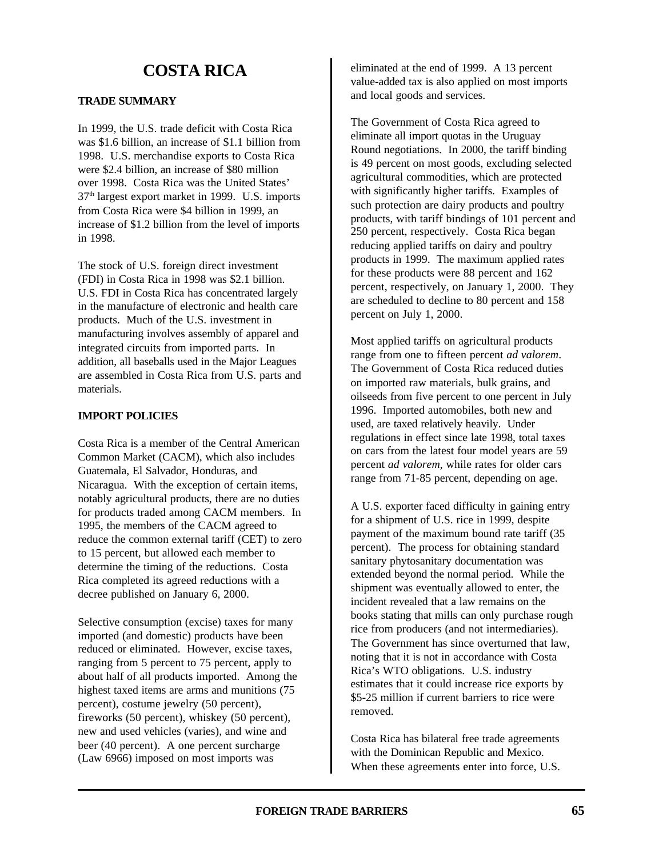# **COSTA RICA**

# **TRADE SUMMARY**

In 1999, the U.S. trade deficit with Costa Rica was \$1.6 billion, an increase of \$1.1 billion from 1998. U.S. merchandise exports to Costa Rica were \$2.4 billion, an increase of \$80 million over 1998. Costa Rica was the United States'  $37<sup>th</sup>$  largest export market in 1999. U.S. imports from Costa Rica were \$4 billion in 1999, an increase of \$1.2 billion from the level of imports in 1998.

The stock of U.S. foreign direct investment (FDI) in Costa Rica in 1998 was \$2.1 billion. U.S. FDI in Costa Rica has concentrated largely in the manufacture of electronic and health care products. Much of the U.S. investment in manufacturing involves assembly of apparel and integrated circuits from imported parts. In addition, all baseballs used in the Major Leagues are assembled in Costa Rica from U.S. parts and materials.

## **IMPORT POLICIES**

Costa Rica is a member of the Central American Common Market (CACM), which also includes Guatemala, El Salvador, Honduras, and Nicaragua. With the exception of certain items, notably agricultural products, there are no duties for products traded among CACM members. In 1995, the members of the CACM agreed to reduce the common external tariff (CET) to zero to 15 percent, but allowed each member to determine the timing of the reductions. Costa Rica completed its agreed reductions with a decree published on January 6, 2000.

Selective consumption (excise) taxes for many imported (and domestic) products have been reduced or eliminated. However, excise taxes, ranging from 5 percent to 75 percent, apply to about half of all products imported. Among the highest taxed items are arms and munitions (75 percent), costume jewelry (50 percent), fireworks (50 percent), whiskey (50 percent), new and used vehicles (varies), and wine and beer (40 percent). A one percent surcharge (Law 6966) imposed on most imports was

eliminated at the end of 1999. A 13 percent value-added tax is also applied on most imports and local goods and services.

The Government of Costa Rica agreed to eliminate all import quotas in the Uruguay Round negotiations. In 2000, the tariff binding is 49 percent on most goods, excluding selected agricultural commodities, which are protected with significantly higher tariffs. Examples of such protection are dairy products and poultry products, with tariff bindings of 101 percent and 250 percent, respectively. Costa Rica began reducing applied tariffs on dairy and poultry products in 1999. The maximum applied rates for these products were 88 percent and 162 percent, respectively, on January 1, 2000. They are scheduled to decline to 80 percent and 158 percent on July 1, 2000.

Most applied tariffs on agricultural products range from one to fifteen percent *ad valorem*. The Government of Costa Rica reduced duties on imported raw materials, bulk grains, and oilseeds from five percent to one percent in July 1996. Imported automobiles, both new and used, are taxed relatively heavily. Under regulations in effect since late 1998, total taxes on cars from the latest four model years are 59 percent *ad valorem*, while rates for older cars range from 71-85 percent, depending on age.

A U.S. exporter faced difficulty in gaining entry for a shipment of U.S. rice in 1999, despite payment of the maximum bound rate tariff (35 percent). The process for obtaining standard sanitary phytosanitary documentation was extended beyond the normal period. While the shipment was eventually allowed to enter, the incident revealed that a law remains on the books stating that mills can only purchase rough rice from producers (and not intermediaries). The Government has since overturned that law, noting that it is not in accordance with Costa Rica's WTO obligations. U.S. industry estimates that it could increase rice exports by \$5-25 million if current barriers to rice were removed.

Costa Rica has bilateral free trade agreements with the Dominican Republic and Mexico. When these agreements enter into force, U.S.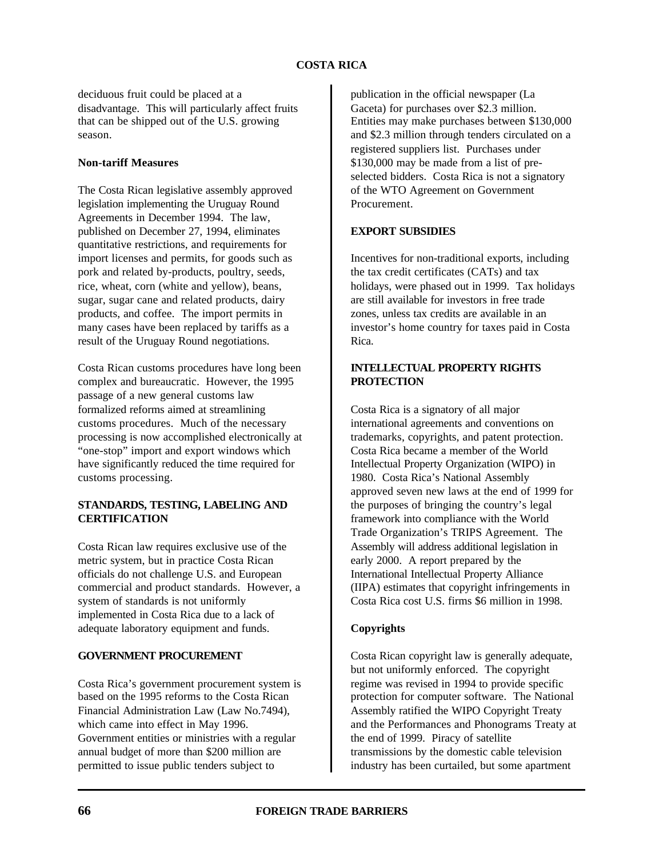deciduous fruit could be placed at a disadvantage. This will particularly affect fruits that can be shipped out of the U.S. growing season.

#### **Non-tariff Measures**

The Costa Rican legislative assembly approved legislation implementing the Uruguay Round Agreements in December 1994. The law, published on December 27, 1994, eliminates quantitative restrictions, and requirements for import licenses and permits, for goods such as pork and related by-products, poultry, seeds, rice, wheat, corn (white and yellow), beans, sugar, sugar cane and related products, dairy products, and coffee. The import permits in many cases have been replaced by tariffs as a result of the Uruguay Round negotiations.

Costa Rican customs procedures have long been complex and bureaucratic. However, the 1995 passage of a new general customs law formalized reforms aimed at streamlining customs procedures. Much of the necessary processing is now accomplished electronically at "one-stop" import and export windows which have significantly reduced the time required for customs processing.

## **STANDARDS, TESTING, LABELING AND CERTIFICATION**

Costa Rican law requires exclusive use of the metric system, but in practice Costa Rican officials do not challenge U.S. and European commercial and product standards. However, a system of standards is not uniformly implemented in Costa Rica due to a lack of adequate laboratory equipment and funds.

# **GOVERNMENT PROCUREMENT**

Costa Rica's government procurement system is based on the 1995 reforms to the Costa Rican Financial Administration Law (Law No.7494), which came into effect in May 1996. Government entities or ministries with a regular annual budget of more than \$200 million are permitted to issue public tenders subject to

publication in the official newspaper (La Gaceta) for purchases over \$2.3 million. Entities may make purchases between \$130,000 and \$2.3 million through tenders circulated on a registered suppliers list. Purchases under \$130,000 may be made from a list of preselected bidders. Costa Rica is not a signatory of the WTO Agreement on Government Procurement.

# **EXPORT SUBSIDIES**

Incentives for non-traditional exports, including the tax credit certificates (CATs) and tax holidays, were phased out in 1999. Tax holidays are still available for investors in free trade zones, unless tax credits are available in an investor's home country for taxes paid in Costa Rica.

## **INTELLECTUAL PROPERTY RIGHTS PROTECTION**

Costa Rica is a signatory of all major international agreements and conventions on trademarks, copyrights, and patent protection. Costa Rica became a member of the World Intellectual Property Organization (WIPO) in 1980. Costa Rica's National Assembly approved seven new laws at the end of 1999 for the purposes of bringing the country's legal framework into compliance with the World Trade Organization's TRIPS Agreement. The Assembly will address additional legislation in early 2000. A report prepared by the International Intellectual Property Alliance (IIPA) estimates that copyright infringements in Costa Rica cost U.S. firms \$6 million in 1998.

## **Copyrights**

Costa Rican copyright law is generally adequate, but not uniformly enforced. The copyright regime was revised in 1994 to provide specific protection for computer software. The National Assembly ratified the WIPO Copyright Treaty and the Performances and Phonograms Treaty at the end of 1999. Piracy of satellite transmissions by the domestic cable television industry has been curtailed, but some apartment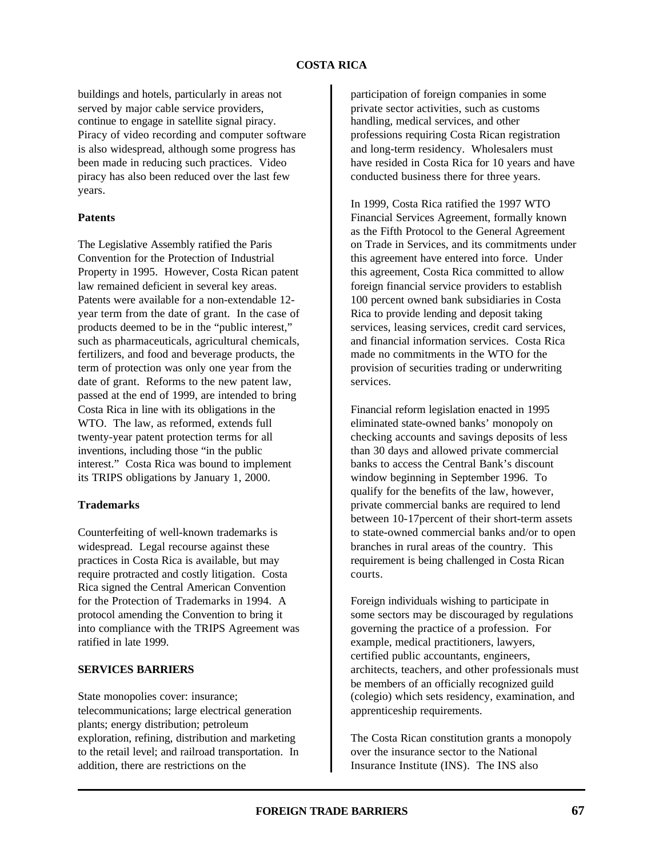## **COSTA RICA**

buildings and hotels, particularly in areas not served by major cable service providers, continue to engage in satellite signal piracy. Piracy of video recording and computer software is also widespread, although some progress has been made in reducing such practices. Video piracy has also been reduced over the last few years.

## **Patents**

The Legislative Assembly ratified the Paris Convention for the Protection of Industrial Property in 1995. However, Costa Rican patent law remained deficient in several key areas. Patents were available for a non-extendable 12 year term from the date of grant. In the case of products deemed to be in the "public interest," such as pharmaceuticals, agricultural chemicals, fertilizers, and food and beverage products, the term of protection was only one year from the date of grant. Reforms to the new patent law, passed at the end of 1999, are intended to bring Costa Rica in line with its obligations in the WTO. The law, as reformed, extends full twenty-year patent protection terms for all inventions, including those "in the public interest." Costa Rica was bound to implement its TRIPS obligations by January 1, 2000.

#### **Trademarks**

Counterfeiting of well-known trademarks is widespread. Legal recourse against these practices in Costa Rica is available, but may require protracted and costly litigation. Costa Rica signed the Central American Convention for the Protection of Trademarks in 1994. A protocol amending the Convention to bring it into compliance with the TRIPS Agreement was ratified in late 1999.

#### **SERVICES BARRIERS**

State monopolies cover: insurance; telecommunications; large electrical generation plants; energy distribution; petroleum exploration, refining, distribution and marketing to the retail level; and railroad transportation. In addition, there are restrictions on the

participation of foreign companies in some private sector activities, such as customs handling, medical services, and other professions requiring Costa Rican registration and long-term residency. Wholesalers must have resided in Costa Rica for 10 years and have conducted business there for three years.

In 1999, Costa Rica ratified the 1997 WTO Financial Services Agreement, formally known as the Fifth Protocol to the General Agreement on Trade in Services, and its commitments under this agreement have entered into force. Under this agreement, Costa Rica committed to allow foreign financial service providers to establish 100 percent owned bank subsidiaries in Costa Rica to provide lending and deposit taking services, leasing services, credit card services, and financial information services. Costa Rica made no commitments in the WTO for the provision of securities trading or underwriting services.

Financial reform legislation enacted in 1995 eliminated state-owned banks' monopoly on checking accounts and savings deposits of less than 30 days and allowed private commercial banks to access the Central Bank's discount window beginning in September 1996. To qualify for the benefits of the law, however, private commercial banks are required to lend between 10-17percent of their short-term assets to state-owned commercial banks and/or to open branches in rural areas of the country. This requirement is being challenged in Costa Rican courts.

Foreign individuals wishing to participate in some sectors may be discouraged by regulations governing the practice of a profession. For example, medical practitioners, lawyers, certified public accountants, engineers, architects, teachers, and other professionals must be members of an officially recognized guild (colegio) which sets residency, examination, and apprenticeship requirements.

The Costa Rican constitution grants a monopoly over the insurance sector to the National Insurance Institute (INS). The INS also